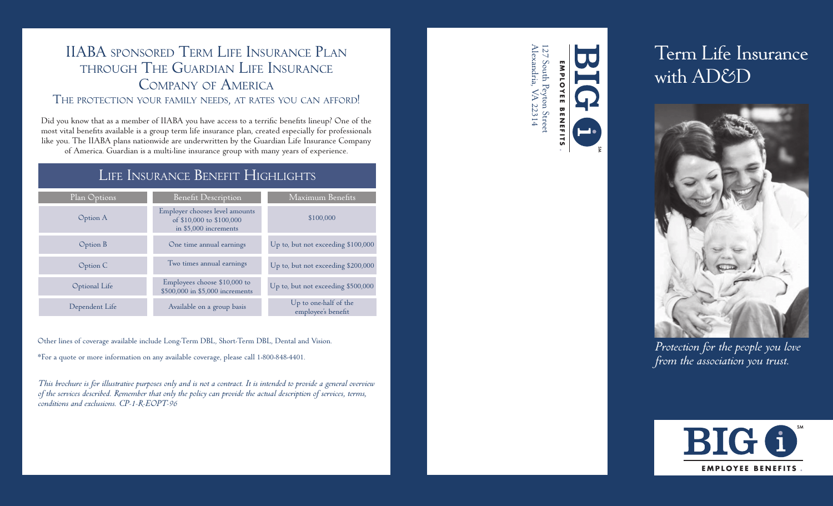# IIABA sponsored Term Life Insurance Plan through The Guardian Life Insurance Company of America

# The protection your family needs, at rates you can afford!

Did you know that as a member of IIABA you have access to a terrific benefits lineup? One of the most vital benefits available is a group term life insurance plan, created especially for professionals like you. The IIABA plans nationwide are underwritten by the Guardian Life Insurance Company of America. Guardian is a multi-line insurance group with many years of experience.

# Life Insurance Benefit Highlights

| Plan Options   | <b>Benefit Description</b>                                                          | Maximum Benefits                                         |
|----------------|-------------------------------------------------------------------------------------|----------------------------------------------------------|
| Option A       | Employer chooses level amounts<br>of \$10,000 to \$100,000<br>in \$5,000 increments | \$100,000                                                |
| Option B       | One time annual earnings                                                            | Up to, but not exceeding $$100,000$                      |
| Option C       | Two times annual earnings                                                           | Up to, but not exceeding \$200,000                       |
| Optional Life  | Employees choose \$10,000 to<br>\$500,000 in \$5,000 increments                     | Up to, but not exceeding \$500,000                       |
| Dependent Life | Available on a group basis                                                          | Up to one <sup>s</sup> half of the<br>employee's benefit |

Other lines of coverage available include Long-Term DBL, Short-Term DBL, Dental and Vision.

\*For a quote or more information on any available coverage, please call 1-800-848-4401.

*This brochure is for illustrative purposes only and is not a contract. It is intended to provide a general overview of the services described. Remember that only the policy can provide the actual description of services, terms, conditions and exclusions. CP-1-R-EOPT-96*

Alexandria, VA 22314 127 South Peyton Street 27 South Peyton Street<br>lexandria, VA 22314 **E M P L OYEE BENEFITS BENEFIT**

# Term Life Insurance with AD&D



*Protection for the people you love from the association you trust.*